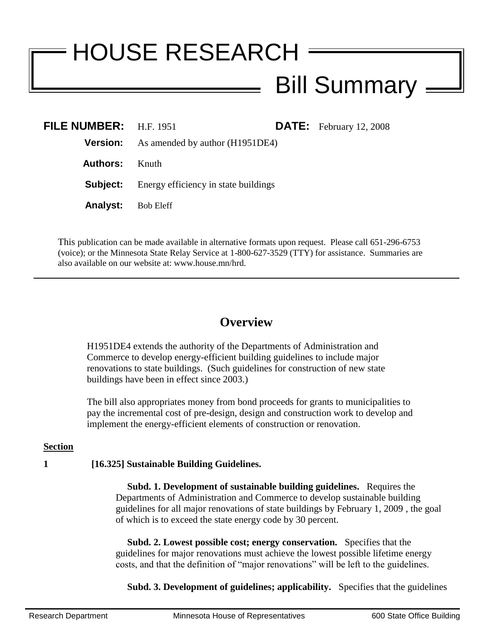# HOUSE RESEARCH Bill Summary

| FILE NUMBER: $H.F. 1951$ |                                                 |  | <b>DATE:</b> February 12, 2008 |
|--------------------------|-------------------------------------------------|--|--------------------------------|
|                          | <b>Version:</b> As amended by author (H1951DE4) |  |                                |
| Authors:                 | Knuth                                           |  |                                |
| Subject:                 | Energy efficiency in state buildings            |  |                                |
| <b>Analyst:</b>          | Bob Eleff                                       |  |                                |

This publication can be made available in alternative formats upon request. Please call 651-296-6753 (voice); or the Minnesota State Relay Service at 1-800-627-3529 (TTY) for assistance. Summaries are also available on our website at: www.house.mn/hrd.

# **Overview**

H1951DE4 extends the authority of the Departments of Administration and Commerce to develop energy-efficient building guidelines to include major renovations to state buildings. (Such guidelines for construction of new state buildings have been in effect since 2003.)

The bill also appropriates money from bond proceeds for grants to municipalities to pay the incremental cost of pre-design, design and construction work to develop and implement the energy-efficient elements of construction or renovation.

### **Section**

## **1 [16.325] Sustainable Building Guidelines.**

 **Subd. 1. Development of sustainable building guidelines.** Requires the Departments of Administration and Commerce to develop sustainable building guidelines for all major renovations of state buildings by February 1, 2009 , the goal of which is to exceed the state energy code by 30 percent.

 **Subd. 2. Lowest possible cost; energy conservation.** Specifies that the guidelines for major renovations must achieve the lowest possible lifetime energy costs, and that the definition of "major renovations" will be left to the guidelines.

**Subd. 3. Development of guidelines; applicability.** Specifies that the guidelines